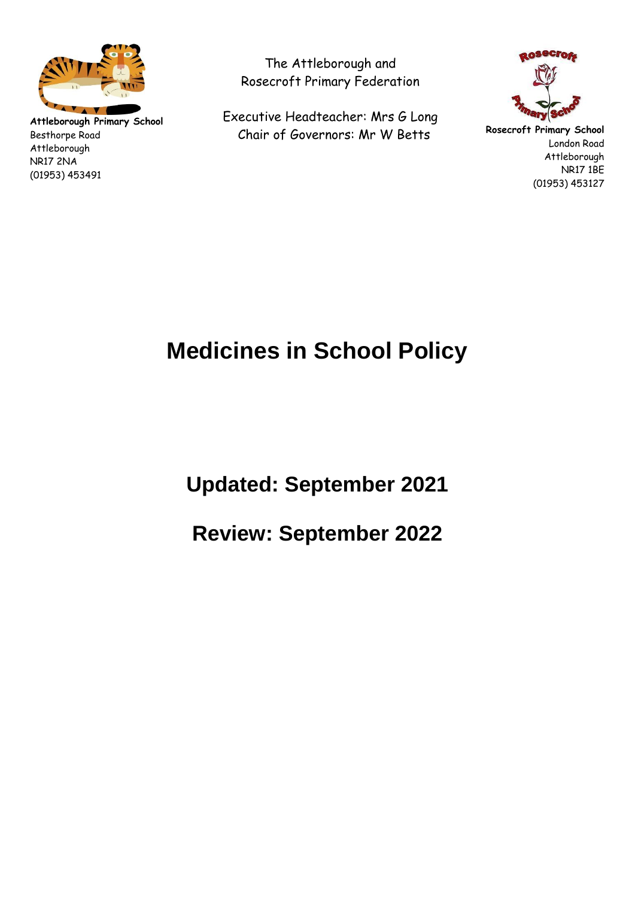

**Attleborough Primary School** Besthorpe Road Attleborough NR17 2NA (01953) 453491

The Attleborough and Rosecroft Primary Federation

Executive Headteacher: Mrs G Long Chair of Governors: Mr W Betts



**Rosecroft Primary School** London Road Attleborough NR17 1BE (01953) 453127

# **Medicines in School Policy**

**Updated: September 2021** 

**Review: September 2022**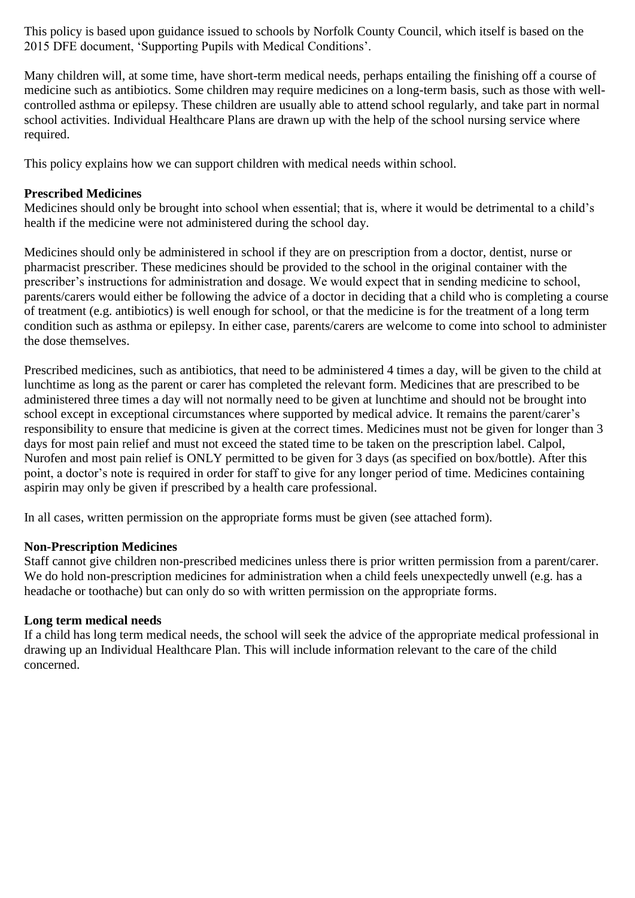This policy is based upon guidance issued to schools by Norfolk County Council, which itself is based on the 2015 DFE document, 'Supporting Pupils with Medical Conditions'.

Many children will, at some time, have short-term medical needs, perhaps entailing the finishing off a course of medicine such as antibiotics. Some children may require medicines on a long-term basis, such as those with wellcontrolled asthma or epilepsy. These children are usually able to attend school regularly, and take part in normal school activities. Individual Healthcare Plans are drawn up with the help of the school nursing service where required.

This policy explains how we can support children with medical needs within school.

# **Prescribed Medicines**

Medicines should only be brought into school when essential; that is, where it would be detrimental to a child's health if the medicine were not administered during the school day.

Medicines should only be administered in school if they are on prescription from a doctor, dentist, nurse or pharmacist prescriber. These medicines should be provided to the school in the original container with the prescriber's instructions for administration and dosage. We would expect that in sending medicine to school, parents/carers would either be following the advice of a doctor in deciding that a child who is completing a course of treatment (e.g. antibiotics) is well enough for school, or that the medicine is for the treatment of a long term condition such as asthma or epilepsy. In either case, parents/carers are welcome to come into school to administer the dose themselves.

Prescribed medicines, such as antibiotics, that need to be administered 4 times a day, will be given to the child at lunchtime as long as the parent or carer has completed the relevant form. Medicines that are prescribed to be administered three times a day will not normally need to be given at lunchtime and should not be brought into school except in exceptional circumstances where supported by medical advice. It remains the parent/carer's responsibility to ensure that medicine is given at the correct times. Medicines must not be given for longer than 3 days for most pain relief and must not exceed the stated time to be taken on the prescription label. Calpol, Nurofen and most pain relief is ONLY permitted to be given for 3 days (as specified on box/bottle). After this point, a doctor's note is required in order for staff to give for any longer period of time. Medicines containing aspirin may only be given if prescribed by a health care professional.

In all cases, written permission on the appropriate forms must be given (see attached form).

#### **Non-Prescription Medicines**

Staff cannot give children non-prescribed medicines unless there is prior written permission from a parent/carer. We do hold non-prescription medicines for administration when a child feels unexpectedly unwell (e.g. has a headache or toothache) but can only do so with written permission on the appropriate forms.

#### **Long term medical needs**

If a child has long term medical needs, the school will seek the advice of the appropriate medical professional in drawing up an Individual Healthcare Plan. This will include information relevant to the care of the child concerned.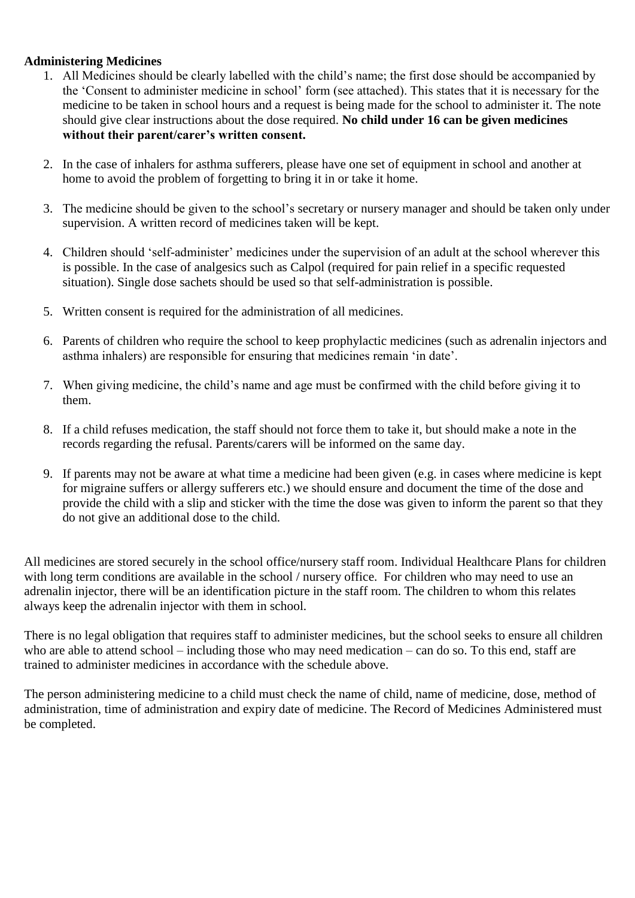## **Administering Medicines**

- 1. All Medicines should be clearly labelled with the child's name; the first dose should be accompanied by the 'Consent to administer medicine in school' form (see attached). This states that it is necessary for the medicine to be taken in school hours and a request is being made for the school to administer it. The note should give clear instructions about the dose required. **No child under 16 can be given medicines without their parent/carer's written consent.**
- 2. In the case of inhalers for asthma sufferers, please have one set of equipment in school and another at home to avoid the problem of forgetting to bring it in or take it home.
- 3. The medicine should be given to the school's secretary or nursery manager and should be taken only under supervision. A written record of medicines taken will be kept.
- 4. Children should 'self-administer' medicines under the supervision of an adult at the school wherever this is possible. In the case of analgesics such as Calpol (required for pain relief in a specific requested situation). Single dose sachets should be used so that self-administration is possible.
- 5. Written consent is required for the administration of all medicines.
- 6. Parents of children who require the school to keep prophylactic medicines (such as adrenalin injectors and asthma inhalers) are responsible for ensuring that medicines remain 'in date'.
- 7. When giving medicine, the child's name and age must be confirmed with the child before giving it to them.
- 8. If a child refuses medication, the staff should not force them to take it, but should make a note in the records regarding the refusal. Parents/carers will be informed on the same day.
- 9. If parents may not be aware at what time a medicine had been given (e.g. in cases where medicine is kept for migraine suffers or allergy sufferers etc.) we should ensure and document the time of the dose and provide the child with a slip and sticker with the time the dose was given to inform the parent so that they do not give an additional dose to the child.

All medicines are stored securely in the school office/nursery staff room. Individual Healthcare Plans for children with long term conditions are available in the school / nursery office. For children who may need to use an adrenalin injector, there will be an identification picture in the staff room. The children to whom this relates always keep the adrenalin injector with them in school.

There is no legal obligation that requires staff to administer medicines, but the school seeks to ensure all children who are able to attend school – including those who may need medication – can do so. To this end, staff are trained to administer medicines in accordance with the schedule above.

The person administering medicine to a child must check the name of child, name of medicine, dose, method of administration, time of administration and expiry date of medicine. The Record of Medicines Administered must be completed.